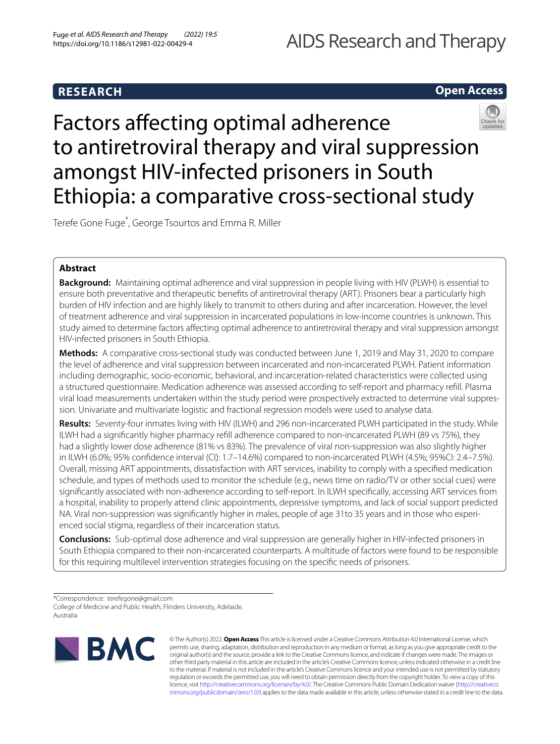# **RESEARCH**

# **Open Access**

# Factors affecting optimal adherence to antiretroviral therapy and viral suppression amongst HIV-infected prisoners in South Ethiopia: a comparative cross-sectional study

Terefe Gone Fuge\* , George Tsourtos and Emma R. Miller

# **Abstract**

**Background:** Maintaining optimal adherence and viral suppression in people living with HIV (PLWH) is essential to ensure both preventative and therapeutic benefts of antiretroviral therapy (ART). Prisoners bear a particularly high burden of HIV infection and are highly likely to transmit to others during and after incarceration. However, the level of treatment adherence and viral suppression in incarcerated populations in low-income countries is unknown. This study aimed to determine factors afecting optimal adherence to antiretroviral therapy and viral suppression amongst HIV-infected prisoners in South Ethiopia.

**Methods:** A comparative cross-sectional study was conducted between June 1, 2019 and May 31, 2020 to compare the level of adherence and viral suppression between incarcerated and non-incarcerated PLWH. Patient information including demographic, socio-economic, behavioral, and incarceration-related characteristics were collected using a structured questionnaire. Medication adherence was assessed according to self-report and pharmacy refll. Plasma viral load measurements undertaken within the study period were prospectively extracted to determine viral suppression. Univariate and multivariate logistic and fractional regression models were used to analyse data.

**Results:** Seventy-four inmates living with HIV (ILWH) and 296 non-incarcerated PLWH participated in the study. While ILWH had a signifcantly higher pharmacy refll adherence compared to non-incarcerated PLWH (89 vs 75%), they had a slightly lower dose adherence (81% vs 83%). The prevalence of viral non-suppression was also slightly higher in ILWH (6.0%; 95% confdence interval (CI): 1.7–14.6%) compared to non-incarcerated PLWH (4.5%; 95%CI: 2.4–7.5%). Overall, missing ART appointments, dissatisfaction with ART services, inability to comply with a specifed medication schedule, and types of methods used to monitor the schedule (e.g., news time on radio/TV or other social cues) were signifcantly associated with non-adherence according to self-report. In ILWH specifcally, accessing ART services from a hospital, inability to properly attend clinic appointments, depressive symptoms, and lack of social support predicted NA. Viral non-suppression was signifcantly higher in males, people of age 31to 35 years and in those who experienced social stigma, regardless of their incarceration status.

**Conclusions:** Sub-optimal dose adherence and viral suppression are generally higher in HIV-infected prisoners in South Ethiopia compared to their non-incarcerated counterparts. A multitude of factors were found to be responsible for this requiring multilevel intervention strategies focusing on the specifc needs of prisoners.

\*Correspondence: terefegone@gmail.com College of Medicine and Public Health, Flinders University, Adelaide, Australia



© The Author(s) 2022. **Open Access** This article is licensed under a Creative Commons Attribution 4.0 International License, which permits use, sharing, adaptation, distribution and reproduction in any medium or format, as long as you give appropriate credit to the original author(s) and the source, provide a link to the Creative Commons licence, and indicate if changes were made. The images or other third party material in this article are included in the article's Creative Commons licence, unless indicated otherwise in a credit line to the material. If material is not included in the article's Creative Commons licence and your intended use is not permitted by statutory regulation or exceeds the permitted use, you will need to obtain permission directly from the copyright holder. To view a copy of this licence, visit [http://creativecommons.org/licenses/by/4.0/.](http://creativecommons.org/licenses/by/4.0/) The Creative Commons Public Domain Dedication waiver ([http://creativeco](http://creativecommons.org/publicdomain/zero/1.0/) [mmons.org/publicdomain/zero/1.0/](http://creativecommons.org/publicdomain/zero/1.0/)) applies to the data made available in this article, unless otherwise stated in a credit line to the data.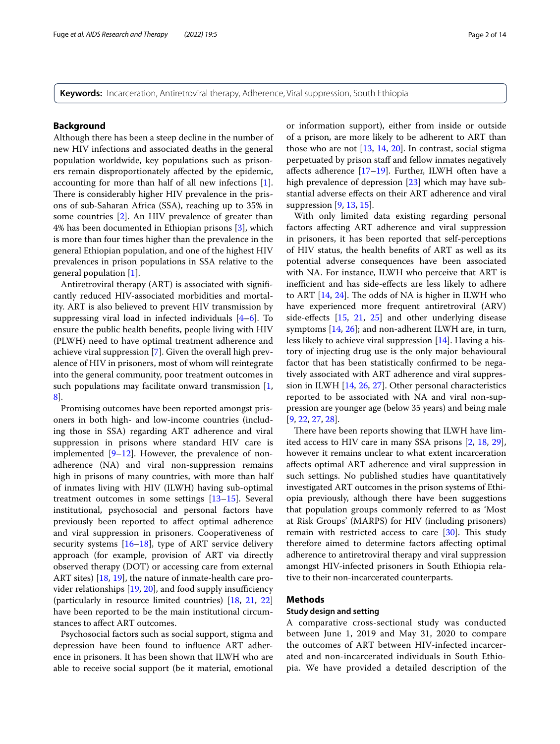**Keywords:** Incarceration, Antiretroviral therapy, Adherence, Viral suppression, South Ethiopia

# **Background**

Although there has been a steep decline in the number of new HIV infections and associated deaths in the general population worldwide, key populations such as prisoners remain disproportionately afected by the epidemic, accounting for more than half of all new infections [\[1](#page-11-0)]. There is considerably higher HIV prevalence in the prisons of sub-Saharan Africa (SSA), reaching up to 35% in some countries [\[2](#page-11-1)]. An HIV prevalence of greater than 4% has been documented in Ethiopian prisons [[3\]](#page-11-2), which is more than four times higher than the prevalence in the general Ethiopian population, and one of the highest HIV prevalences in prison populations in SSA relative to the general population [[1\]](#page-11-0).

Antiretroviral therapy (ART) is associated with signifcantly reduced HIV-associated morbidities and mortality. ART is also believed to prevent HIV transmission by suppressing viral load in infected individuals  $[4-6]$  $[4-6]$  $[4-6]$ . To ensure the public health benefts, people living with HIV (PLWH) need to have optimal treatment adherence and achieve viral suppression [[7\]](#page-11-5). Given the overall high prevalence of HIV in prisoners, most of whom will reintegrate into the general community, poor treatment outcomes in such populations may facilitate onward transmission  $[1, 1]$  $[1, 1]$ [8\]](#page-11-6).

Promising outcomes have been reported amongst prisoners in both high- and low-income countries (including those in SSA) regarding ART adherence and viral suppression in prisons where standard HIV care is implemented [[9](#page-11-7)[–12](#page-11-8)]. However, the prevalence of nonadherence (NA) and viral non-suppression remains high in prisons of many countries, with more than half of inmates living with HIV (ILWH) having sub-optimal treatment outcomes in some settings [\[13](#page-11-9)–[15\]](#page-11-10). Several institutional, psychosocial and personal factors have previously been reported to afect optimal adherence and viral suppression in prisoners. Cooperativeness of security systems  $[16–18]$  $[16–18]$  $[16–18]$  $[16–18]$ , type of ART service delivery approach (for example, provision of ART via directly observed therapy (DOT) or accessing care from external ART sites) [\[18](#page-11-12), [19\]](#page-11-13), the nature of inmate-health care provider relationships  $[19, 20]$  $[19, 20]$  $[19, 20]$ , and food supply insufficiency (particularly in resource limited countries) [[18,](#page-11-12) [21](#page-11-15), [22](#page-11-16)] have been reported to be the main institutional circumstances to afect ART outcomes.

Psychosocial factors such as social support, stigma and depression have been found to infuence ART adherence in prisoners. It has been shown that ILWH who are able to receive social support (be it material, emotional or information support), either from inside or outside of a prison, are more likely to be adherent to ART than those who are not [[13,](#page-11-9) [14,](#page-11-17) [20\]](#page-11-14). In contrast, social stigma perpetuated by prison staff and fellow inmates negatively affects adherence  $[17–19]$  $[17–19]$  $[17–19]$ . Further, ILWH often have a high prevalence of depression [[23\]](#page-11-19) which may have substantial adverse efects on their ART adherence and viral suppression [[9,](#page-11-7) [13](#page-11-9), [15\]](#page-11-10).

With only limited data existing regarding personal factors afecting ART adherence and viral suppression in prisoners, it has been reported that self-perceptions of HIV status, the health benefts of ART as well as its potential adverse consequences have been associated with NA. For instance, ILWH who perceive that ART is inefficient and has side-effects are less likely to adhere to ART  $[14, 24]$  $[14, 24]$  $[14, 24]$ . The odds of NA is higher in ILWH who have experienced more frequent antiretroviral (ARV) side-efects [\[15](#page-11-10), [21](#page-11-15), [25\]](#page-11-21) and other underlying disease symptoms [[14,](#page-11-17) [26](#page-11-22)]; and non-adherent ILWH are, in turn, less likely to achieve viral suppression [[14\]](#page-11-17). Having a history of injecting drug use is the only major behavioural factor that has been statistically confrmed to be negatively associated with ART adherence and viral suppression in ILWH [[14,](#page-11-17) [26](#page-11-22), [27](#page-11-23)]. Other personal characteristics reported to be associated with NA and viral non-suppression are younger age (below 35 years) and being male [[9,](#page-11-7) [22](#page-11-16), [27,](#page-11-23) [28\]](#page-11-24).

There have been reports showing that ILWH have limited access to HIV care in many SSA prisons [[2,](#page-11-1) [18,](#page-11-12) [29](#page-11-25)], however it remains unclear to what extent incarceration afects optimal ART adherence and viral suppression in such settings. No published studies have quantitatively investigated ART outcomes in the prison systems of Ethiopia previously, although there have been suggestions that population groups commonly referred to as 'Most at Risk Groups' (MARPS) for HIV (including prisoners) remain with restricted access to care  $[30]$ . This study therefore aimed to determine factors afecting optimal adherence to antiretroviral therapy and viral suppression amongst HIV-infected prisoners in South Ethiopia relative to their non-incarcerated counterparts.

# **Methods**

#### **Study design and setting**

A comparative cross-sectional study was conducted between June 1, 2019 and May 31, 2020 to compare the outcomes of ART between HIV-infected incarcerated and non-incarcerated individuals in South Ethiopia. We have provided a detailed description of the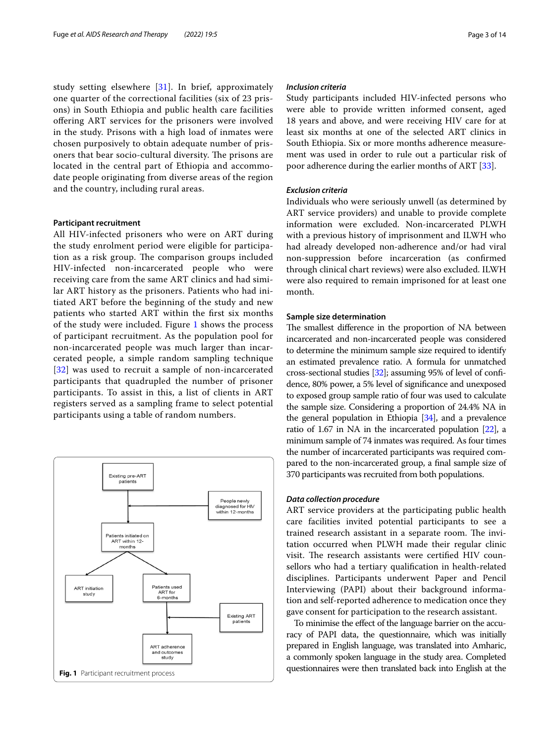study setting elsewhere [\[31](#page-12-0)]. In brief, approximately one quarter of the correctional facilities (six of 23 prisons) in South Ethiopia and public health care facilities ofering ART services for the prisoners were involved in the study. Prisons with a high load of inmates were chosen purposively to obtain adequate number of prisoners that bear socio-cultural diversity. The prisons are located in the central part of Ethiopia and accommodate people originating from diverse areas of the region and the country, including rural areas.

## **Participant recruitment**

All HIV-infected prisoners who were on ART during the study enrolment period were eligible for participation as a risk group. The comparison groups included HIV-infected non-incarcerated people who were receiving care from the same ART clinics and had similar ART history as the prisoners. Patients who had initiated ART before the beginning of the study and new patients who started ART within the frst six months of the study were included. Figure [1](#page-2-0) shows the process of participant recruitment. As the population pool for non-incarcerated people was much larger than incarcerated people, a simple random sampling technique [[32](#page-12-1)] was used to recruit a sample of non-incarcerated participants that quadrupled the number of prisoner participants. To assist in this, a list of clients in ART registers served as a sampling frame to select potential participants using a table of random numbers.

<span id="page-2-0"></span>

# *Inclusion criteria*

Study participants included HIV-infected persons who were able to provide written informed consent, aged 18 years and above, and were receiving HIV care for at least six months at one of the selected ART clinics in South Ethiopia. Six or more months adherence measurement was used in order to rule out a particular risk of poor adherence during the earlier months of ART [[33\]](#page-12-2).

#### *Exclusion criteria*

Individuals who were seriously unwell (as determined by ART service providers) and unable to provide complete information were excluded. Non-incarcerated PLWH with a previous history of imprisonment and ILWH who had already developed non-adherence and/or had viral non-suppression before incarceration (as confrmed through clinical chart reviews) were also excluded. ILWH were also required to remain imprisoned for at least one month.

# **Sample size determination**

The smallest difference in the proportion of NA between incarcerated and non-incarcerated people was considered to determine the minimum sample size required to identify an estimated prevalence ratio. A formula for unmatched cross-sectional studies [[32](#page-12-1)]; assuming 95% of level of confdence, 80% power, a 5% level of signifcance and unexposed to exposed group sample ratio of four was used to calculate the sample size. Considering a proportion of 24.4% NA in the general population in Ethiopia  $[34]$ , and a prevalence ratio of 1.67 in NA in the incarcerated population [\[22](#page-11-16)], a minimum sample of 74 inmates was required. As four times the number of incarcerated participants was required compared to the non-incarcerated group, a fnal sample size of 370 participants was recruited from both populations.

## *Data collection procedure*

ART service providers at the participating public health care facilities invited potential participants to see a trained research assistant in a separate room. The invitation occurred when PLWH made their regular clinic visit. The research assistants were certified HIV counsellors who had a tertiary qualifcation in health-related disciplines. Participants underwent Paper and Pencil Interviewing (PAPI) about their background information and self-reported adherence to medication once they gave consent for participation to the research assistant.

To minimise the efect of the language barrier on the accuracy of PAPI data, the questionnaire, which was initially prepared in English language, was translated into Amharic, a commonly spoken language in the study area. Completed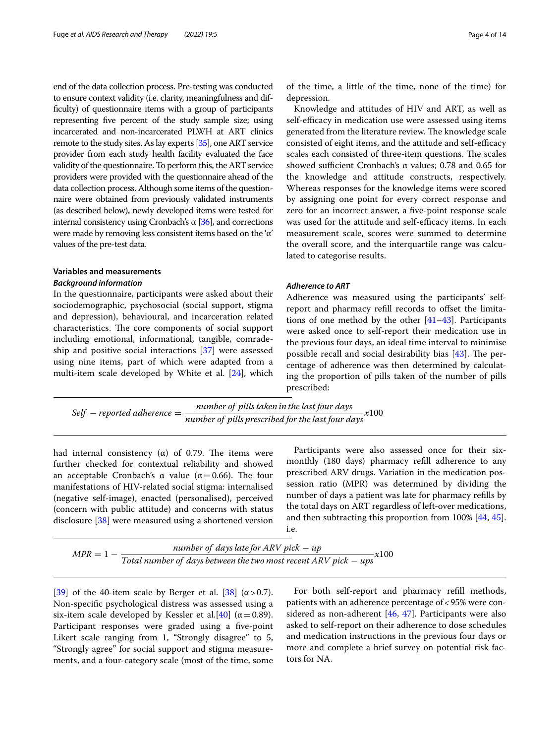end of the data collection process. Pre-testing was conducted to ensure context validity (i.e. clarity, meaningfulness and difficulty) of questionnaire items with a group of participants representing fve percent of the study sample size; using incarcerated and non-incarcerated PLWH at ART clinics remote to the study sites. As lay experts [\[35](#page-12-4)], one ART service provider from each study health facility evaluated the face validity of the questionnaire. To perform this, the ART service providers were provided with the questionnaire ahead of the data collection process. Although some items of the questionnaire were obtained from previously validated instruments (as described below), newly developed items were tested for internal consistency using Cronbach's  $\alpha$  [\[36](#page-12-5)], and corrections were made by removing less consistent items based on the 'α' values of the pre-test data.

# **Variables and measurements**

# *Background information*

In the questionnaire, participants were asked about their sociodemographic, psychosocial (social support, stigma and depression), behavioural, and incarceration related characteristics. The core components of social support including emotional, informational, tangible, comradeship and positive social interactions [[37\]](#page-12-6) were assessed using nine items, part of which were adapted from a multi-item scale developed by White et al. [\[24](#page-11-20)], which of the time, a little of the time, none of the time) for depression.

Knowledge and attitudes of HIV and ART, as well as self-efficacy in medication use were assessed using items generated from the literature review. The knowledge scale consisted of eight items, and the attitude and self-efficacy scales each consisted of three-item questions. The scales showed sufficient Cronbach's α values;  $0.78$  and  $0.65$  for the knowledge and attitude constructs, respectively. Whereas responses for the knowledge items were scored by assigning one point for every correct response and zero for an incorrect answer, a fve-point response scale was used for the attitude and self-efficacy items. In each measurement scale, scores were summed to determine the overall score, and the interquartile range was calculated to categorise results.

# *Adherence to ART*

Adherence was measured using the participants' selfreport and pharmacy refill records to offset the limitations of one method by the other [[41](#page-12-10)[–43](#page-12-11)]. Participants were asked once to self-report their medication use in the previous four days, an ideal time interval to minimise possible recall and social desirability bias  $[43]$ . The percentage of adherence was then determined by calculating the proportion of pills taken of the number of pills prescribed:

 $Self-$  reported adherence  $=\dfrac{number\ of\ pills\ taken\ in\ the\ last\ four\ days}{number\ of\ pills\ prescribed\ for\ the\ last\ four\ days}x100$ 

had internal consistency (α) of 0.79. The items were further checked for contextual reliability and showed an acceptable Cronbach's α value ( $α = 0.66$ ). The four manifestations of HIV-related social stigma: internalised (negative self-image), enacted (personalised), perceived (concern with public attitude) and concerns with status disclosure [[38\]](#page-12-7) were measured using a shortened version

Participants were also assessed once for their sixmonthly (180 days) pharmacy refll adherence to any prescribed ARV drugs. Variation in the medication possession ratio (MPR) was determined by dividing the number of days a patient was late for pharmacy reflls by the total days on ART regardless of left-over medications, and then subtracting this proportion from 100% [[44](#page-12-12), [45](#page-12-13)]. i.e.

| $MPR = 1 -$ | number of days late for ARV pick $-$ up<br>x100                                                     |
|-------------|-----------------------------------------------------------------------------------------------------|
|             | Total number of days between the two most recent ARV pick $-$ ups <sup><math>\check{ }</math></sup> |

[[39\]](#page-12-8) of the 40-item scale by Berger et al. [\[38](#page-12-7)] ( $\alpha$  > 0.7). Non-specifc psychological distress was assessed using a six-item scale developed by Kessler et al.[[40\]](#page-12-9) ( $\alpha$  = 0.89). Participant responses were graded using a five-point Likert scale ranging from 1, "Strongly disagree" to 5, "Strongly agree" for social support and stigma measurements, and a four-category scale (most of the time, some

For both self-report and pharmacy refll methods, patients with an adherence percentage of<95% were considered as non-adherent  $[46, 47]$  $[46, 47]$  $[46, 47]$  $[46, 47]$ . Participants were also asked to self-report on their adherence to dose schedules and medication instructions in the previous four days or more and complete a brief survey on potential risk factors for NA.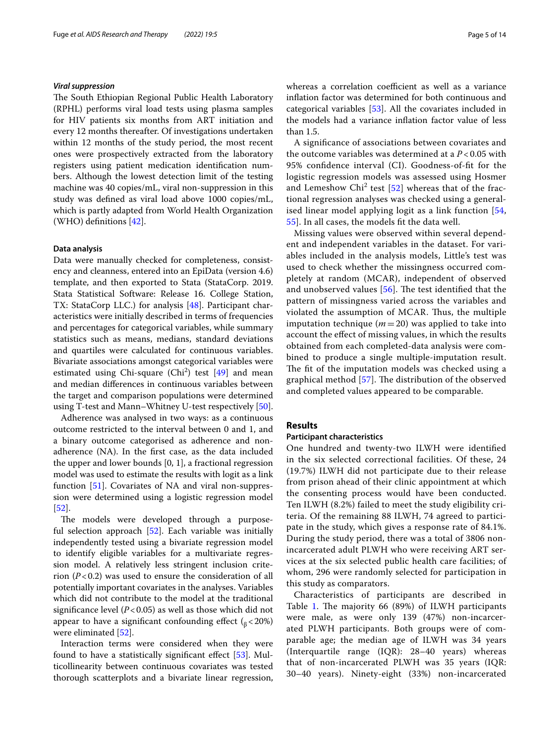## *Viral suppression*

The South Ethiopian Regional Public Health Laboratory (RPHL) performs viral load tests using plasma samples for HIV patients six months from ART initiation and every 12 months thereafter. Of investigations undertaken within 12 months of the study period, the most recent ones were prospectively extracted from the laboratory registers using patient medication identifcation numbers. Although the lowest detection limit of the testing machine was 40 copies/mL, viral non-suppression in this study was defned as viral load above 1000 copies/mL, which is partly adapted from World Health Organization (WHO) defnitions [\[42\]](#page-12-16).

#### <span id="page-4-0"></span>**Data analysis**

Data were manually checked for completeness, consistency and cleanness, entered into an EpiData (version 4.6) template, and then exported to Stata (StataCorp. 2019. Stata Statistical Software: Release 16. College Station, TX: StataCorp LLC.) for analysis [[48\]](#page-12-17). Participant characteristics were initially described in terms of frequencies and percentages for categorical variables, while summary statistics such as means, medians, standard deviations and quartiles were calculated for continuous variables. Bivariate associations amongst categorical variables were estimated using Chi-square  $(Chi<sup>2</sup>)$  test  $[49]$  $[49]$  and mean and median diferences in continuous variables between the target and comparison populations were determined using T-test and Mann–Whitney U-test respectively [\[50](#page-12-19)].

Adherence was analysed in two ways: as a continuous outcome restricted to the interval between 0 and 1, and a binary outcome categorised as adherence and nonadherence (NA). In the frst case, as the data included the upper and lower bounds [0, 1], a fractional regression model was used to estimate the results with logit as a link function [\[51](#page-12-20)]. Covariates of NA and viral non-suppression were determined using a logistic regression model [[52\]](#page-12-21).

The models were developed through a purposeful selection approach [[52\]](#page-12-21). Each variable was initially independently tested using a bivariate regression model to identify eligible variables for a multivariate regression model. A relatively less stringent inclusion criterion  $(P<0.2)$  was used to ensure the consideration of all potentially important covariates in the analyses. Variables which did not contribute to the model at the traditional signifcance level (*P*<0.05) as well as those which did not appear to have a significant confounding effect ( $_{\text{B}}$  < 20%) were eliminated [\[52](#page-12-21)].

Interaction terms were considered when they were found to have a statistically signifcant efect [\[53](#page-12-22)]. Multicollinearity between continuous covariates was tested thorough scatterplots and a bivariate linear regression, whereas a correlation coefficient as well as a variance infation factor was determined for both continuous and categorical variables [[53](#page-12-22)]. All the covariates included in the models had a variance infation factor value of less than 1.5.

A signifcance of associations between covariates and the outcome variables was determined at a *P* < 0.05 with 95% confdence interval (CI). Goodness-of-ft for the logistic regression models was assessed using Hosmer and Lemeshow  $Chi^2$  test [[52](#page-12-21)] whereas that of the fractional regression analyses was checked using a generalised linear model applying logit as a link function [\[54](#page-12-23), [55\]](#page-12-24). In all cases, the models ft the data well.

Missing values were observed within several dependent and independent variables in the dataset. For variables included in the analysis models, Little's test was used to check whether the missingness occurred completely at random (MCAR), independent of observed and unobserved values  $[56]$  $[56]$ . The test identified that the pattern of missingness varied across the variables and violated the assumption of MCAR. Thus, the multiple imputation technique ( $m = 20$ ) was applied to take into account the efect of missing values, in which the results obtained from each completed-data analysis were combined to produce a single multiple-imputation result. The fit of the imputation models was checked using a graphical method  $[57]$  $[57]$ . The distribution of the observed and completed values appeared to be comparable.

# **Results**

# **Participant characteristics**

One hundred and twenty-two ILWH were identifed in the six selected correctional facilities. Of these, 24 (19.7%) ILWH did not participate due to their release from prison ahead of their clinic appointment at which the consenting process would have been conducted. Ten ILWH (8.2%) failed to meet the study eligibility criteria. Of the remaining 88 ILWH, 74 agreed to participate in the study, which gives a response rate of 84.1%. During the study period, there was a total of 3806 nonincarcerated adult PLWH who were receiving ART services at the six selected public health care facilities; of whom, 296 were randomly selected for participation in this study as comparators.

Characteristics of participants are described in Table [1.](#page-5-0) The majority 66 (89%) of ILWH participants were male, as were only 139 (47%) non-incarcerated PLWH participants. Both groups were of comparable age; the median age of ILWH was 34 years (Interquartile range (IQR): 28–40 years) whereas that of non-incarcerated PLWH was 35 years (IQR: 30–40 years). Ninety-eight (33%) non-incarcerated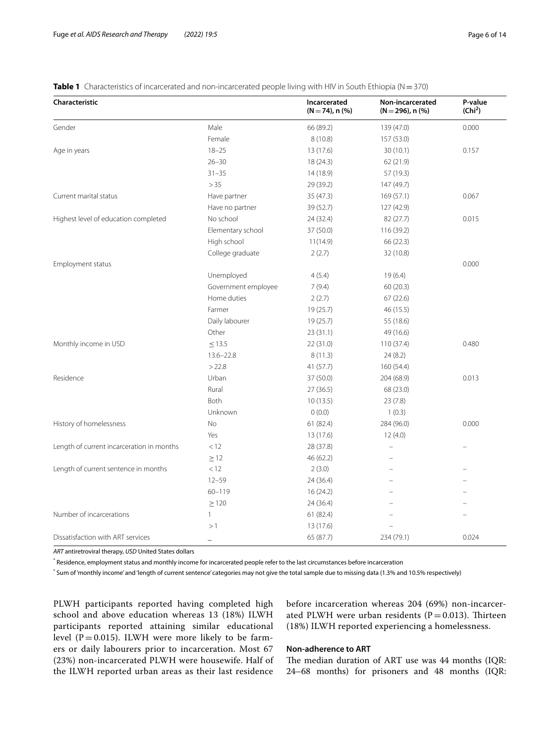# <span id="page-5-0"></span>**Table 1** Characteristics of incarcerated and non-incarcerated people living with HIV in South Ethiopia (N=370)

| Characteristic                            |                          | Incarcerated<br>$(N = 74)$ , n $(\%)$ | Non-incarcerated<br>$(N=296)$ , n $(\%)$ | P-value<br>(Chi <sup>2</sup> ) |
|-------------------------------------------|--------------------------|---------------------------------------|------------------------------------------|--------------------------------|
| Gender                                    | Male                     | 66 (89.2)                             | 139 (47.0)                               | 0.000                          |
|                                           | Female                   | 8(10.8)                               | 157 (53.0)                               |                                |
| Age in years                              | $18 - 25$                | 13 (17.6)                             | 30(10.1)                                 | 0.157                          |
|                                           | $26 - 30$                | 18 (24.3)                             | 62 (21.9)                                |                                |
|                                           | $31 - 35$                | 14 (18.9)                             | 57 (19.3)                                |                                |
|                                           | > 35                     | 29 (39.2)                             | 147 (49.7)                               |                                |
| Current marital status                    | Have partner             | 35(47.3)                              | 169 (57.1)                               | 0.067                          |
|                                           | Have no partner          | 39 (52.7)                             | 127 (42.9)                               |                                |
| Highest level of education completed      | No school                | 24 (32.4)                             | 82 (27.7)                                |                                |
|                                           | Elementary school        | 37 (50.0)                             | 116 (39.2)                               |                                |
|                                           | High school              | 11(14.9)                              | 66 (22.3)                                |                                |
|                                           | College graduate         | 2(2.7)                                | 32 (10.8)                                |                                |
| Employment status                         |                          |                                       |                                          | 0.000                          |
|                                           | Unemployed               | 4(5.4)                                | 19(6.4)                                  |                                |
|                                           | Government employee      | 7(9.4)                                | 60(20.3)                                 |                                |
|                                           | Home duties              | 2(2.7)                                | 67(22.6)                                 |                                |
|                                           | Farmer                   | 19 (25.7)                             | 46 (15.5)                                |                                |
|                                           | Daily labourer           | 19 (25.7)                             | 55 (18.6)                                |                                |
|                                           | Other                    | 23(31.1)                              | 49 (16.6)                                |                                |
| Monthly income in USD                     | $\leq$ 13.5              | 22 (31.0)                             | 110 (37.4)                               | 0.480                          |
|                                           | $13.6 - 22.8$            | 8(11.3)                               | 24(8.2)                                  |                                |
|                                           | >22.8                    | 41 (57.7)                             | 160 (54.4)                               |                                |
| Residence                                 | Urban                    | 37 (50.0)                             | 204 (68.9)                               | 0.013                          |
|                                           | Rural                    | 27(36.5)                              | 68 (23.0)                                |                                |
|                                           | Both                     | 10(13.5)                              | 23(7.8)                                  |                                |
|                                           | Unknown                  | 0(0.0)                                | 1(0.3)                                   |                                |
| History of homelessness                   | No                       | 61(82.4)                              | 284 (96.0)                               | 0.000                          |
|                                           | Yes                      | 13 (17.6)                             | 12(4.0)                                  |                                |
| Length of current incarceration in months | < 12                     | 28 (37.8)                             |                                          |                                |
|                                           | $\geq$ 12                | 46 (62.2)                             |                                          |                                |
| Length of current sentence in months      | < 12                     | 2(3.0)                                |                                          |                                |
|                                           | $12 - 59$                | 24 (36.4)                             |                                          |                                |
|                                           | 60-119                   | 16(24.2)                              |                                          |                                |
|                                           | $\geq$ 120               | 24 (36.4)                             |                                          |                                |
| Number of incarcerations                  | $\mathbf{1}$             | 61 (82.4)                             |                                          |                                |
|                                           | >1                       | 13 (17.6)                             |                                          |                                |
| Dissatisfaction with ART services         | $\overline{\phantom{a}}$ | 65 (87.7)                             | 234 (79.1)                               | 0.024                          |

*ART* antiretroviral therapy, *USD* United States dollars

\* Residence, employment status and monthly income for incarcerated people refer to the last circumstances before incarceration

\* Sum of 'monthly income' and 'length of current sentence' categories may not give the total sample due to missing data (1.3% and 10.5% respectively)

PLWH participants reported having completed high school and above education whereas 13 (18%) ILWH participants reported attaining similar educational level ( $P = 0.015$ ). ILWH were more likely to be farmers or daily labourers prior to incarceration. Most 67 (23%) non-incarcerated PLWH were housewife. Half of the ILWH reported urban areas as their last residence

before incarceration whereas 204 (69%) non-incarcerated PLWH were urban residents ( $P=0.013$ ). Thirteen (18%) ILWH reported experiencing a homelessness.

# **Non‑adherence to ART**

The median duration of ART use was 44 months (IQR: 24–68 months) for prisoners and 48 months (IQR: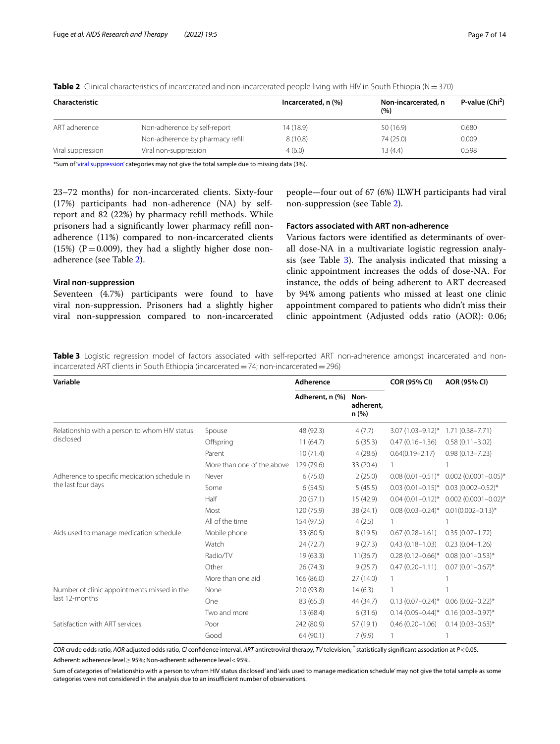| Characteristic    |                                  | Incarcerated, n (%) | Non-incarcerated, n<br>(%) | P-value $(Chi2)$ |  |
|-------------------|----------------------------------|---------------------|----------------------------|------------------|--|
| ART adherence     | Non-adherence by self-report     | 14 (18.9)           | 50 (16.9)                  | 0.680            |  |
|                   | Non-adherence by pharmacy refill | 8(10.8)             | 74 (25.0)                  | 0.009            |  |
| Viral suppression | Viral non-suppression            | 4(6.0)              | 13 (4.4)                   | 0.598            |  |

<span id="page-6-0"></span>**Table 2** Clinical characteristics of incarcerated and non-incarcerated people living with HIV in South Ethiopia (N=370)

\*Sum of ['viral suppression](#page-4-0)' categories may not give the total sample due to missing data (3%).

23–72 months) for non-incarcerated clients. Sixty-four (17%) participants had non-adherence (NA) by selfreport and 82 (22%) by pharmacy refll methods. While prisoners had a signifcantly lower pharmacy refll nonadherence (11%) compared to non-incarcerated clients (15%) ( $P = 0.009$ ), they had a slightly higher dose nonadherence (see Table [2\)](#page-6-0).

# **Viral non‑suppression**

Seventeen (4.7%) participants were found to have viral non-suppression. Prisoners had a slightly higher viral non-suppression compared to non-incarcerated

people—four out of 67 (6%) ILWH participants had viral non-suppression (see Table [2](#page-6-0)).

# **Factors associated with ART non‑adherence**

Various factors were identifed as determinants of overall dose-NA in a multivariate logistic regression analysis (see Table  $3$ ). The analysis indicated that missing a clinic appointment increases the odds of dose-NA. For instance, the odds of being adherent to ART decreased by 94% among patients who missed at least one clinic appointment compared to patients who didn't miss their clinic appointment (Adjusted odds ratio (AOR): 0.06;

<span id="page-6-1"></span>**Table 3** Logistic regression model of factors associated with self-reported ART non-adherence amongst incarcerated and nonincarcerated ART clients in South Ethiopia (incarcerated=74; non-incarcerated=296)

| Variable                                      |                            | Adherence                                     |           | <b>COR (95% CI)</b>     | AOR (95% CI)             |  |
|-----------------------------------------------|----------------------------|-----------------------------------------------|-----------|-------------------------|--------------------------|--|
|                                               |                            | Adherent, n (%)<br>Non-<br>adherent.<br>n (%) |           |                         |                          |  |
| Relationship with a person to whom HIV status | Spouse                     | 48 (92.3)                                     | 4(7.7)    | $3.07(1.03 - 9.12)^{*}$ | $1.71(0.38 - 7.71)$      |  |
| disclosed                                     | Offspring                  | 11(64.7)                                      | 6(35.3)   | $0.47(0.16 - 1.36)$     | $0.58(0.11 - 3.02)$      |  |
|                                               | Parent                     | 10(71.4)                                      | 4(28.6)   | $0.64(0.19 - 2.17)$     | $0.98(0.13 - 7.23)$      |  |
|                                               | More than one of the above | 129 (79.6)                                    | 33 (20.4) |                         |                          |  |
| Adherence to specific medication schedule in  | Never                      | 6(75.0)                                       | 2(25.0)   | $0.08(0.01 - 0.51)^{*}$ | $0.002$ (0.0001-0.05)*   |  |
| the last four days                            | Some                       | 6(54.5)                                       | 5(45.5)   | $0.03(0.01 - 0.15)^*$   | $0.03(0.002 - 0.52)^{*}$ |  |
|                                               | Half                       | 20(57.1)                                      | 15 (42.9) | $0.04(0.01 - 0.12)^{*}$ | $0.002$ (0.0001-0.02)*   |  |
|                                               | Most                       | 120 (75.9)                                    | 38 (24.1) | $0.08(0.03 - 0.24)$ *   | $0.01(0.002 - 0.13)^*$   |  |
|                                               | All of the time            | 154 (97.5)                                    | 4(2.5)    |                         |                          |  |
| Aids used to manage medication schedule       | Mobile phone               | 33 (80.5)                                     | 8(19.5)   | $0.67(0.28 - 1.61)$     | $0.35(0.07 - 1.72)$      |  |
|                                               | Watch                      | 24(72.7)                                      | 9(27.3)   | $0.43(0.18 - 1.03)$     | $0.23(0.04 - 1.26)$      |  |
|                                               | Radio/TV                   | 19(63.3)                                      | 11(36.7)  | $0.28(0.12 - 0.66)^*$   | $0.08(0.01 - 0.53)$ *    |  |
|                                               | Other                      | 26(74.3)                                      | 9(25.7)   | $0.47(0.20 - 1.11)$     | $0.07(0.01 - 0.67)^*$    |  |
|                                               | More than one aid          | 166 (86.0)                                    | 27 (14.0) |                         |                          |  |
| Number of clinic appointments missed in the   | None                       | 210 (93.8)                                    | 14(6.3)   |                         |                          |  |
| last 12-months                                | One                        | 83 (65.3)                                     | 44 (34.7) | $0.13(0.07 - 0.24)^*$   | $0.06(0.02 - 0.22)$ *    |  |
|                                               | Two and more               | 13 (68.4)                                     | 6(31.6)   | $0.14(0.05 - 0.44)^{*}$ | $0.16(0.03 - 0.97)^*$    |  |
| Satisfaction with ART services                | Poor                       | 242 (80.9)                                    | 57 (19.1) | $0.46(0.20 - 1.06)$     | $0.14(0.03 - 0.63)^*$    |  |
|                                               | Good                       | 64 (90.1)                                     | 7(9.9)    |                         |                          |  |

*COR* crude odds ratio, *AOR* adjusted odds ratio, *CI* confdence interval, *ART* antiretroviral therapy, *TV* television; \* statistically signifcant association at *P*<0.05. Adherent: adherence level≥95%; Non-adherent: adherence level<95%.

Sum of categories of 'relationship with a person to whom HIV status disclosed' and 'aids used to manage medication schedule' may not give the total sample as some categories were not considered in the analysis due to an insufficient number of observations.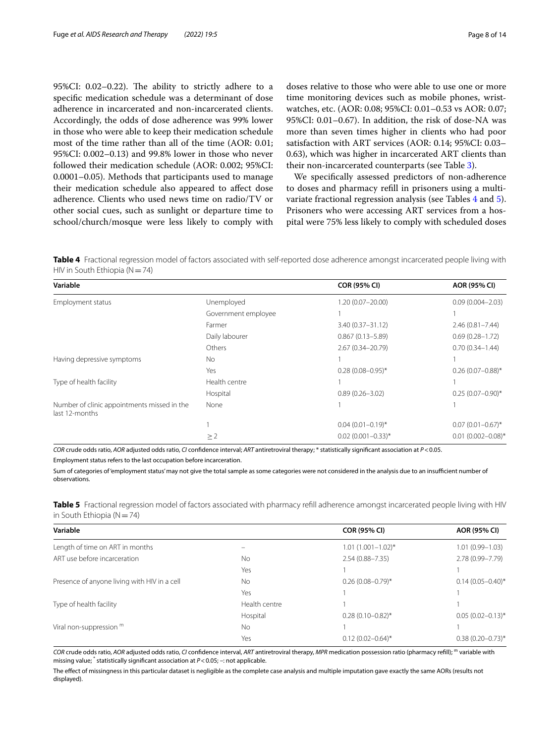95%CI:  $0.02-0.22$ ). The ability to strictly adhere to a specifc medication schedule was a determinant of dose adherence in incarcerated and non-incarcerated clients. Accordingly, the odds of dose adherence was 99% lower in those who were able to keep their medication schedule most of the time rather than all of the time (AOR: 0.01; 95%CI: 0.002–0.13) and 99.8% lower in those who never followed their medication schedule (AOR: 0.002; 95%CI: 0.0001–0.05). Methods that participants used to manage their medication schedule also appeared to afect dose adherence. Clients who used news time on radio/TV or other social cues, such as sunlight or departure time to school/church/mosque were less likely to comply with

doses relative to those who were able to use one or more time monitoring devices such as mobile phones, wristwatches, etc. (AOR: 0.08; 95%CI: 0.01–0.53 vs AOR: 0.07; 95%CI: 0.01–0.67). In addition, the risk of dose-NA was more than seven times higher in clients who had poor satisfaction with ART services (AOR: 0.14; 95%CI: 0.03– 0.63), which was higher in incarcerated ART clients than their non-incarcerated counterparts (see Table [3\)](#page-6-1).

We specifcally assessed predictors of non-adherence to doses and pharmacy refll in prisoners using a multivariate fractional regression analysis (see Tables [4](#page-7-0) and [5](#page-7-1)). Prisoners who were accessing ART services from a hospital were 75% less likely to comply with scheduled doses

<span id="page-7-0"></span>**Table 4** Fractional regression model of factors associated with self-reported dose adherence amongst incarcerated people living with HIV in South Ethiopia ( $N=74$ )

| Variable                                                      |                     | <b>COR (95% CI)</b>   | AOR (95% CI)           |
|---------------------------------------------------------------|---------------------|-----------------------|------------------------|
| Employment status                                             | Unemployed          | $1.20(0.07 - 20.00)$  | $0.09(0.004 - 2.03)$   |
|                                                               | Government employee |                       |                        |
|                                                               | Farmer              | $3.40(0.37 - 31.12)$  | $2.46(0.81 - 7.44)$    |
|                                                               | Daily labourer      | $0.867(0.13 - 5.89)$  | $0.69(0.28 - 1.72)$    |
|                                                               | Others              | 2.67 (0.34-20.79)     | $0.70(0.34 - 1.44)$    |
| Having depressive symptoms                                    | No                  |                       |                        |
|                                                               | Yes                 | $0.28(0.08 - 0.95)^*$ | $0.26(0.07 - 0.88)$ *  |
| Type of health facility                                       | Health centre       |                       |                        |
|                                                               | Hospital            | $0.89(0.26 - 3.02)$   | $0.25(0.07-0.90)$ *    |
| Number of clinic appointments missed in the<br>last 12-months | None                |                       |                        |
|                                                               |                     | $0.04(0.01 - 0.19)^*$ | $0.07(0.01 - 0.67)^*$  |
|                                                               | $\geq$ 2            | $0.02(0.001 - 0.33)*$ | $0.01(0.002 - 0.08)$ * |

*COR* crude odds ratio, *AOR* adjusted odds ratio, *CI* confdence interval; *ART* antiretroviral therapy; \* statistically signifcant association at *P*<0.05. Employment status refers to the last occupation before incarceration.

Sum of categories of 'employment status' may not give the total sample as some categories were not considered in the analysis due to an insufcient number of observations.

<span id="page-7-1"></span>**Table 5** Fractional regression model of factors associated with pharmacy refll adherence amongst incarcerated people living with HIV in South Ethiopia ( $N=74$ )

| Variable                                     |               | <b>COR (95% CI)</b>     | AOR (95% CI)            |
|----------------------------------------------|---------------|-------------------------|-------------------------|
| Length of time on ART in months              |               | $1.01(1.001 - 1.02)^*$  | $1.01(0.99 - 1.03)$     |
| ART use before incarceration                 | <b>No</b>     | $2.54(0.88 - 7.35)$     | 2.78 (0.99-7.79)        |
|                                              | Yes           |                         |                         |
| Presence of anyone living with HIV in a cell | <b>No</b>     | $0.26(0.08 - 0.79)$ *   | $0.14(0.05 - 0.40)^{*}$ |
|                                              | Yes           |                         |                         |
| Type of health facility                      | Health centre |                         |                         |
|                                              | Hospital      | $0.28(0.10 - 0.82)$ *   | $0.05(0.02 - 0.13)^*$   |
| Viral non-suppression $m$                    | <b>No</b>     |                         |                         |
|                                              | Yes           | $0.12(0.02 - 0.64)^{*}$ | $0.38(0.20 - 0.73)$ *   |
|                                              |               |                         |                         |

*COR* crude odds ratio, *AOR* adjusted odds ratio, *CI* confdence interval, *ART* antiretroviral therapy, *MPR* medication possession ratio (pharmacy refll); m variable with missing value; \* statistically signifcant association at *P*<0.05; –: not applicable.

The efect of missingness in this particular dataset is negligible as the complete case analysis and multiple imputation gave exactly the same AORs (results not displayed).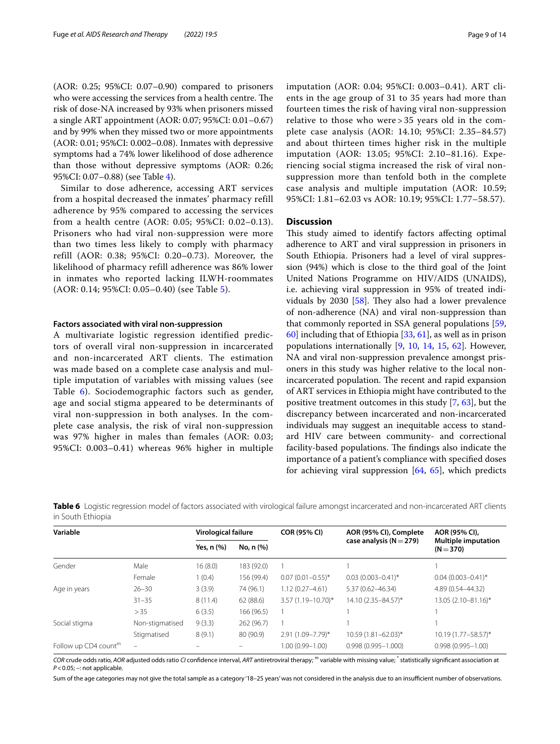(AOR: 0.25; 95%CI: 0.07–0.90) compared to prisoners who were accessing the services from a health centre. The risk of dose-NA increased by 93% when prisoners missed a single ART appointment (AOR: 0.07; 95%CI: 0.01–0.67) and by 99% when they missed two or more appointments (AOR: 0.01; 95%CI: 0.002–0.08). Inmates with depressive symptoms had a 74% lower likelihood of dose adherence than those without depressive symptoms (AOR: 0.26; 95%CI: 0.07–0.88) (see Table [4](#page-7-0)).

Similar to dose adherence, accessing ART services from a hospital decreased the inmates' pharmacy refill adherence by 95% compared to accessing the services from a health centre (AOR: 0.05; 95%CI: 0.02–0.13). Prisoners who had viral non-suppression were more than two times less likely to comply with pharmacy refill (AOR: 0.38; 95%CI: 0.20–0.73). Moreover, the likelihood of pharmacy refill adherence was 86% lower in inmates who reported lacking ILWH-roommates (AOR: 0.14; 95%CI: 0.05–0.40) (see Table [5](#page-7-1)).

## **Factors associated with viral non‑suppression**

A multivariate logistic regression identified predictors of overall viral non-suppression in incarcerated and non-incarcerated ART clients. The estimation was made based on a complete case analysis and multiple imputation of variables with missing values (see Table [6](#page-8-0)). Sociodemographic factors such as gender, age and social stigma appeared to be determinants of viral non-suppression in both analyses. In the complete case analysis, the risk of viral non-suppression was 97% higher in males than females (AOR: 0.03; 95%CI: 0.003–0.41) whereas 96% higher in multiple imputation (AOR: 0.04; 95%CI: 0.003–0.41). ART clients in the age group of 31 to 35 years had more than fourteen times the risk of having viral non-suppression relative to those who were > 35 years old in the complete case analysis (AOR: 14.10; 95%CI: 2.35–84.57) and about thirteen times higher risk in the multiple imputation (AOR: 13.05; 95%CI: 2.10–81.16). Experiencing social stigma increased the risk of viral nonsuppression more than tenfold both in the complete case analysis and multiple imputation (AOR: 10.59; 95%CI: 1.81–62.03 vs AOR: 10.19; 95%CI: 1.77–58.57).

# **Discussion**

This study aimed to identify factors affecting optimal adherence to ART and viral suppression in prisoners in South Ethiopia. Prisoners had a level of viral suppression (94%) which is close to the third goal of the Joint United Nations Programme on HIV/AIDS (UNAIDS), i.e. achieving viral suppression in 95% of treated individuals by 2030  $[58]$  $[58]$  $[58]$ . They also had a lower prevalence of non-adherence (NA) and viral non-suppression than that commonly reported in SSA general populations [[59](#page-12-28), [60\]](#page-12-29) including that of Ethiopia [[33](#page-12-2), [61\]](#page-12-30), as well as in prison populations internationally  $[9, 10, 14, 15, 62]$  $[9, 10, 14, 15, 62]$  $[9, 10, 14, 15, 62]$  $[9, 10, 14, 15, 62]$  $[9, 10, 14, 15, 62]$  $[9, 10, 14, 15, 62]$  $[9, 10, 14, 15, 62]$  $[9, 10, 14, 15, 62]$  $[9, 10, 14, 15, 62]$  $[9, 10, 14, 15, 62]$ . However, NA and viral non-suppression prevalence amongst prisoners in this study was higher relative to the local nonincarcerated population. The recent and rapid expansion of ART services in Ethiopia might have contributed to the positive treatment outcomes in this study [\[7](#page-11-5), [63](#page-12-32)], but the discrepancy between incarcerated and non-incarcerated individuals may suggest an inequitable access to standard HIV care between community- and correctional facility-based populations. The findings also indicate the importance of a patient's compliance with specifed doses for achieving viral suppression [\[64](#page-12-33), [65](#page-12-34)], which predicts

<span id="page-8-0"></span>Table 6 Logistic regression model of factors associated with virological failure amongst incarcerated and non-incarcerated ART clients in South Ethiopia

| Variable                         |                          | Virological failure |            | <b>COR (95% CI)</b>    | AOR (95% CI), Complete      | AOR (95% CI),                             |  |
|----------------------------------|--------------------------|---------------------|------------|------------------------|-----------------------------|-------------------------------------------|--|
|                                  |                          | Yes, n (%)          | No, n (%)  |                        | case analysis ( $N = 279$ ) | <b>Multiple imputation</b><br>$(N = 370)$ |  |
| Gender                           | Male                     | 16(8.0)             | 183 (92.0) |                        |                             |                                           |  |
|                                  | Female                   | 1(0.4)              | 156 (99.4) | $0.07(0.01 - 0.55)^*$  | $0.03(0.003 - 0.41)^*$      | $0.04(0.003 - 0.41)^*$                    |  |
| Age in years                     | $26 - 30$                | 3(3.9)              | 74 (96.1)  | $1.12(0.27 - 4.61)$    | 5.37 (0.62-46.34)           | 4.89 (0.54-44.32)                         |  |
|                                  | $31 - 35$                | 8(11.4)             | 62(88.6)   | $3.57(1.19 - 10.70)^*$ | 14.10 (2.35-84.57)*         | 13.05 (2.10-81.16)*                       |  |
|                                  | > 35                     | 6(3.5)              | 166 (96.5) |                        |                             |                                           |  |
| Social stigma                    | Non-stigmatised          | 9(3.3)              | 262 (96.7) |                        |                             |                                           |  |
|                                  | Stigmatised              | 8(9.1)              | 80 (90.9)  | 2.91 (1.09-7.79)*      | $10.59(1.81 - 62.03)^{*}$   | 10.19 (1.77 - 58.57)*                     |  |
| Follow up CD4 count <sup>m</sup> | $\overline{\phantom{m}}$ |                     |            | 1.00 (0.99-1.00)       | $0.998(0.995 - 1.000)$      | $0.998(0.995 - 1.00)$                     |  |

*COR* crude odds ratio, *AOR* adjusted odds ratio *CI* confdence interval, *ART* antiretroviral therapy; m variable with missing value; \* statistically signifcant association at *P*<0.05; –: not applicable.

Sum of the age categories may not give the total sample as a category '18-25 years' was not considered in the analysis due to an insufficient number of observations.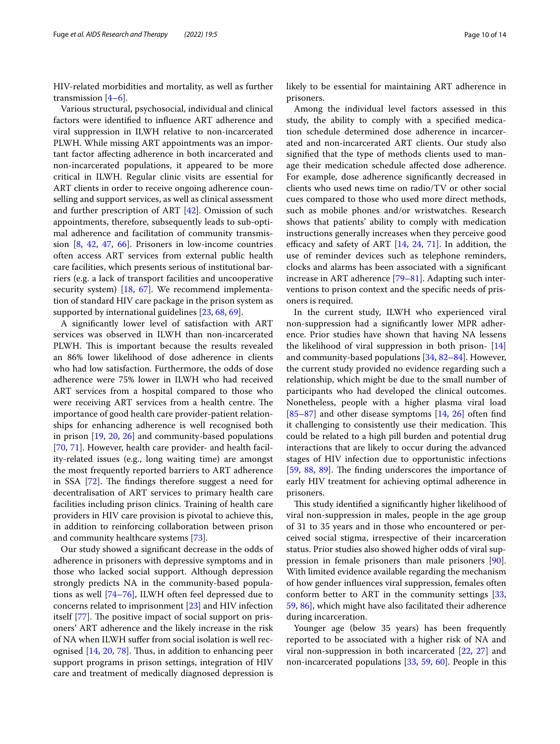HIV-related morbidities and mortality, as well as further transmission  $[4-6]$  $[4-6]$  $[4-6]$ .

Various structural, psychosocial, individual and clinical factors were identifed to infuence ART adherence and viral suppression in ILWH relative to non-incarcerated PLWH. While missing ART appointments was an important factor afecting adherence in both incarcerated and non-incarcerated populations, it appeared to be more critical in ILWH. Regular clinic visits are essential for ART clients in order to receive ongoing adherence counselling and support services, as well as clinical assessment and further prescription of ART [[42](#page-12-16)]. Omission of such appointments, therefore, subsequently leads to sub-optimal adherence and facilitation of community transmission [\[8](#page-11-6), [42](#page-12-16), [47,](#page-12-15) [66\]](#page-12-35). Prisoners in low-income countries often access ART services from external public health care facilities, which presents serious of institutional barriers (e.g. a lack of transport facilities and uncooperative security system) [[18](#page-11-12), [67\]](#page-12-36). We recommend implementation of standard HIV care package in the prison system as supported by international guidelines [[23,](#page-11-19) [68](#page-12-37), [69](#page-12-38)].

A signifcantly lower level of satisfaction with ART services was observed in ILWH than non-incarcerated PLWH. This is important because the results revealed an 86% lower likelihood of dose adherence in clients who had low satisfaction. Furthermore, the odds of dose adherence were 75% lower in ILWH who had received ART services from a hospital compared to those who were receiving ART services from a health centre. The importance of good health care provider-patient relationships for enhancing adherence is well recognised both in prison [\[19](#page-11-13), [20](#page-11-14), [26](#page-11-22)] and community-based populations [[70,](#page-12-39) [71\]](#page-12-40). However, health care provider- and health facility-related issues (e.g., long waiting time) are amongst the most frequently reported barriers to ART adherence in SSA [[72](#page-12-41)]. The findings therefore suggest a need for decentralisation of ART services to primary health care facilities including prison clinics. Training of health care providers in HIV care provision is pivotal to achieve this, in addition to reinforcing collaboration between prison and community healthcare systems [[73\]](#page-12-42).

Our study showed a signifcant decrease in the odds of adherence in prisoners with depressive symptoms and in those who lacked social support. Although depression strongly predicts NA in the community-based populations as well [[74](#page-12-43)[–76](#page-13-0)], ILWH often feel depressed due to concerns related to imprisonment [[23\]](#page-11-19) and HIV infection itself [[77](#page-13-1)]. The positive impact of social support on prisoners' ART adherence and the likely increase in the risk of NA when ILWH sufer from social isolation is well rec-ognised [[14](#page-11-17), [20](#page-11-14), [78](#page-13-2)]. Thus, in addition to enhancing peer support programs in prison settings, integration of HIV care and treatment of medically diagnosed depression is likely to be essential for maintaining ART adherence in prisoners.

Among the individual level factors assessed in this study, the ability to comply with a specifed medication schedule determined dose adherence in incarcerated and non-incarcerated ART clients. Our study also signifed that the type of methods clients used to manage their medication schedule afected dose adherence. For example, dose adherence signifcantly decreased in clients who used news time on radio/TV or other social cues compared to those who used more direct methods, such as mobile phones and/or wristwatches. Research shows that patients' ability to comply with medication instructions generally increases when they perceive good efficacy and safety of ART  $[14, 24, 71]$  $[14, 24, 71]$  $[14, 24, 71]$  $[14, 24, 71]$  $[14, 24, 71]$  $[14, 24, 71]$  $[14, 24, 71]$ . In addition, the use of reminder devices such as telephone reminders, clocks and alarms has been associated with a signifcant increase in ART adherence [[79–](#page-13-3)[81](#page-13-4)]. Adapting such interventions to prison context and the specifc needs of prisoners is required.

In the current study, ILWH who experienced viral non-suppression had a signifcantly lower MPR adherence. Prior studies have shown that having NA lessens the likelihood of viral suppression in both prison- [[14](#page-11-17)] and community-based populations [\[34](#page-12-3), [82–](#page-13-5)[84](#page-13-6)]. However, the current study provided no evidence regarding such a relationship, which might be due to the small number of participants who had developed the clinical outcomes. Nonetheless, people with a higher plasma viral load  $[85-87]$  $[85-87]$  and other disease symptoms  $[14, 26]$  $[14, 26]$  $[14, 26]$  $[14, 26]$  $[14, 26]$  often find it challenging to consistently use their medication. This could be related to a high pill burden and potential drug interactions that are likely to occur during the advanced stages of HIV infection due to opportunistic infections  $[59, 88, 89]$  $[59, 88, 89]$  $[59, 88, 89]$  $[59, 88, 89]$  $[59, 88, 89]$  $[59, 88, 89]$  $[59, 88, 89]$ . The finding underscores the importance of early HIV treatment for achieving optimal adherence in prisoners.

This study identified a significantly higher likelihood of viral non-suppression in males, people in the age group of 31 to 35 years and in those who encountered or perceived social stigma, irrespective of their incarceration status. Prior studies also showed higher odds of viral suppression in female prisoners than male prisoners [\[90](#page-13-11)]. With limited evidence available regarding the mechanism of how gender infuences viral suppression, females often conform better to ART in the community settings [[33](#page-12-2), [59,](#page-12-28) [86](#page-13-12)], which might have also facilitated their adherence during incarceration.

Younger age (below 35 years) has been frequently reported to be associated with a higher risk of NA and viral non-suppression in both incarcerated [[22,](#page-11-16) [27](#page-11-23)] and non-incarcerated populations [\[33,](#page-12-2) [59](#page-12-28), [60](#page-12-29)]. People in this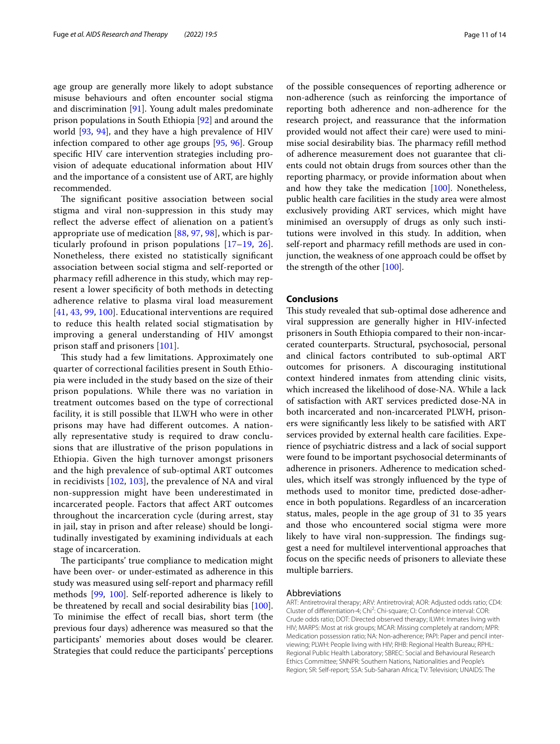age group are generally more likely to adopt substance misuse behaviours and often encounter social stigma and discrimination [[91\]](#page-13-13). Young adult males predominate prison populations in South Ethiopia [[92\]](#page-13-14) and around the world [\[93,](#page-13-15) [94\]](#page-13-16), and they have a high prevalence of HIV infection compared to other age groups [[95,](#page-13-17) [96](#page-13-18)]. Group specifc HIV care intervention strategies including provision of adequate educational information about HIV and the importance of a consistent use of ART, are highly recommended.

The significant positive association between social stigma and viral non-suppression in this study may reflect the adverse effect of alienation on a patient's appropriate use of medication [\[88,](#page-13-9) [97](#page-13-19), [98](#page-13-20)], which is particularly profound in prison populations [[17–](#page-11-18)[19](#page-11-13), [26\]](#page-11-22). Nonetheless, there existed no statistically signifcant association between social stigma and self-reported or pharmacy refll adherence in this study, which may represent a lower specifcity of both methods in detecting adherence relative to plasma viral load measurement [[41](#page-12-10), [43](#page-12-11), [99,](#page-13-21) [100\]](#page-13-22). Educational interventions are required to reduce this health related social stigmatisation by improving a general understanding of HIV amongst prison staff and prisoners [[101\]](#page-13-23).

This study had a few limitations. Approximately one quarter of correctional facilities present in South Ethiopia were included in the study based on the size of their prison populations. While there was no variation in treatment outcomes based on the type of correctional facility, it is still possible that ILWH who were in other prisons may have had diferent outcomes. A nationally representative study is required to draw conclusions that are illustrative of the prison populations in Ethiopia. Given the high turnover amongst prisoners and the high prevalence of sub-optimal ART outcomes in recidivists [[102](#page-13-24), [103](#page-13-25)], the prevalence of NA and viral non-suppression might have been underestimated in incarcerated people. Factors that afect ART outcomes throughout the incarceration cycle (during arrest, stay in jail, stay in prison and after release) should be longitudinally investigated by examining individuals at each stage of incarceration.

The participants' true compliance to medication might have been over- or under-estimated as adherence in this study was measured using self-report and pharmacy refll methods [[99,](#page-13-21) [100](#page-13-22)]. Self-reported adherence is likely to be threatened by recall and social desirability bias [\[100](#page-13-22)]. To minimise the efect of recall bias, short term (the previous four days) adherence was measured so that the participants' memories about doses would be clearer. Strategies that could reduce the participants' perceptions of the possible consequences of reporting adherence or non-adherence (such as reinforcing the importance of reporting both adherence and non-adherence for the research project, and reassurance that the information provided would not afect their care) were used to minimise social desirability bias. The pharmacy refill method of adherence measurement does not guarantee that clients could not obtain drugs from sources other than the reporting pharmacy, or provide information about when and how they take the medication [\[100\]](#page-13-22). Nonetheless, public health care facilities in the study area were almost exclusively providing ART services, which might have minimised an oversupply of drugs as only such institutions were involved in this study. In addition, when self-report and pharmacy refll methods are used in conjunction, the weakness of one approach could be offset by the strength of the other [[100](#page-13-22)].

# **Conclusions**

This study revealed that sub-optimal dose adherence and viral suppression are generally higher in HIV-infected prisoners in South Ethiopia compared to their non-incarcerated counterparts. Structural, psychosocial, personal and clinical factors contributed to sub-optimal ART outcomes for prisoners. A discouraging institutional context hindered inmates from attending clinic visits, which increased the likelihood of dose-NA. While a lack of satisfaction with ART services predicted dose-NA in both incarcerated and non-incarcerated PLWH, prisoners were signifcantly less likely to be satisfed with ART services provided by external health care facilities. Experience of psychiatric distress and a lack of social support were found to be important psychosocial determinants of adherence in prisoners. Adherence to medication schedules, which itself was strongly infuenced by the type of methods used to monitor time, predicted dose-adherence in both populations. Regardless of an incarceration status, males, people in the age group of 31 to 35 years and those who encountered social stigma were more likely to have viral non-suppression. The findings suggest a need for multilevel interventional approaches that focus on the specifc needs of prisoners to alleviate these multiple barriers.

#### Abbreviations

ART: Antiretroviral therapy; ARV: Antiretroviral; AOR: Adjusted odds ratio; CD4: Cluster of differentiation-4; Chi<sup>2</sup>: Chi-square; CI: Confidence interval: COR: Crude odds ratio; DOT: Directed observed therapy; ILWH: Inmates living with HIV; MARPS: Most at risk groups; MCAR: Missing completely at random; MPR: Medication possession ratio; NA: Non-adherence; PAPI: Paper and pencil interviewing; PLWH: People living with HIV; RHB: Regional Health Bureau; RPHL: Regional Public Health Laboratory; SBREC: Social and Behavioural Research Ethics Committee; SNNPR: Southern Nations, Nationalities and People's Region; SR: Self-report; SSA: Sub-Saharan Africa; TV: Television; UNAIDS: The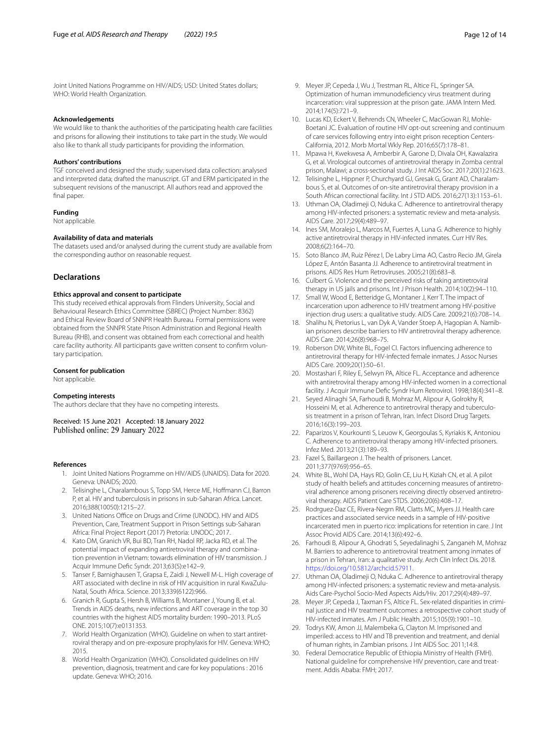Joint United Nations Programme on HIV/AIDS; USD: United States dollars; WHO: World Health Organization.

#### **Acknowledgements**

We would like to thank the authorities of the participating health care facilities and prisons for allowing their institutions to take part in the study. We would also like to thank all study participants for providing the information.

#### **Authors' contributions**

TGF conceived and designed the study; supervised data collection; analysed and interpreted data; drafted the manuscript. GT and ERM participated in the subsequent revisions of the manuscript. All authors read and approved the final paper.

#### **Funding**

Not applicable.

#### **Availability of data and materials**

The datasets used and/or analysed during the current study are available from the corresponding author on reasonable request.

#### **Declarations**

## **Ethics approval and consent to participate**

This study received ethical approvals from Flinders University, Social and Behavioural Research Ethics Committee (SBREC) (Project Number: 8362) and Ethical Review Board of SNNPR Health Bureau. Formal permissions were obtained from the SNNPR State Prison Administration and Regional Health Bureau (RHB), and consent was obtained from each correctional and health care facility authority. All participants gave written consent to confrm voluntary participation.

# **Consent for publication**

Not applicable.

#### **Competing interests**

The authors declare that they have no competing interests.

Received: 15 June 2021 Accepted: 18 January 2022<br>Published online: 29 January 2022

#### <span id="page-11-0"></span>**References**

- 1. Joint United Nations Programme on HIV/AIDS (UNAIDS). Data for 2020. Geneva: UNAIDS; 2020.
- <span id="page-11-1"></span>2. Telisinghe L, Charalambous S, Topp SM, Herce ME, Hofmann CJ, Barron P, et al. HIV and tuberculosis in prisons in sub-Saharan Africa. Lancet. 2016;388(10050):1215–27.
- <span id="page-11-2"></span>3. United Nations Office on Drugs and Crime (UNODC). HIV and AIDS Prevention, Care, Treatment Support in Prison Settings sub-Saharan Africa: Final Project Report (2017) Pretoria: UNODC; 2017.
- <span id="page-11-3"></span>4. Kato DM, Granich VR, Bui BD, Tran RH, Nadol RP, Jacka RD, et al. The potential impact of expanding antiretroviral therapy and combination prevention in Vietnam: towards elimination of HIV transmission. J Acquir Immune Defc Syndr. 2013;63(5):e142–9.
- 5. Tanser F, Barnighausen T, Grapsa E, Zaidi J, Newell M-L. High coverage of ART associated with decline in risk of HIV acquisition in rural KwaZulu-Natal, South Africa. Science. 2013;339(6122):966.
- <span id="page-11-4"></span>6. Granich R, Gupta S, Hersh B, Williams B, Montaner J, Young B, et al. Trends in AIDS deaths, new infections and ART coverage in the top 30 countries with the highest AIDS mortality burden: 1990–2013. PLoS ONE. 2015;10(7):e0131353.
- <span id="page-11-5"></span>7. World Health Organization (WHO). Guideline on when to start antiretroviral therapy and on pre-exposure prophylaxis for HIV. Geneva: WHO; 2015.
- <span id="page-11-6"></span>World Health Organization (WHO). Consolidated guidelines on HIV prevention, diagnosis, treatment and care for key populations : 2016 update. Geneva: WHO; 2016.
- <span id="page-11-7"></span>9. Meyer JP, Cepeda J, Wu J, Trestman RL, Altice FL, Springer SA. Optimization of human immunodefciency virus treatment during incarceration: viral suppression at the prison gate. JAMA Intern Med. 2014;174(5):721–9.
- <span id="page-11-27"></span>10. Lucas KD, Eckert V, Behrends CN, Wheeler C, MacGowan RJ, Mohle-Boetani JC. Evaluation of routine HIV opt-out screening and continuum of care services following entry into eight prison reception Centers-California, 2012. Morb Mortal Wkly Rep. 2016;65(7):178–81.
- 11. Mpawa H, Kwekwesa A, Amberbir A, Garone D, Divala OH, Kawalazira G, et al. Virological outcomes of antiretroviral therapy in Zomba central prison, Malawi; a cross-sectional study. J Int AIDS Soc. 2017;20(1):21623.
- <span id="page-11-8"></span>12. Telisinghe L, Hippner P, Churchyard GJ, Gresak G, Grant AD, Charalambous S, et al. Outcomes of on-site antiretroviral therapy provision in a South African correctional facility. Int J STD AIDS. 2016;27(13):1153–61.
- <span id="page-11-9"></span>13. Uthman OA, Oladimeji O, Nduka C. Adherence to antiretroviral therapy among HIV-infected prisoners: a systematic review and meta-analysis. AIDS Care. 2017;29(4):489–97.
- <span id="page-11-17"></span>14. Ines SM, Moralejo L, Marcos M, Fuertes A, Luna G. Adherence to highly active antiretroviral therapy in HIV-infected inmates. Curr HIV Res. 2008;6(2):164–70.
- <span id="page-11-10"></span>15. Soto Blanco JM, Ruiz Pérez I, De Labry Lima AO, Castro Recio JM, Girela López E, Antón Basanta JJ. Adherence to antiretroviral treatment in prisons. AIDS Res Hum Retroviruses. 2005;21(8):683–8.
- <span id="page-11-11"></span>16. Culbert G. Violence and the perceived risks of taking antiretroviral therapy in US jails and prisons. Int J Prison Health. 2014;10(2):94–110.
- <span id="page-11-18"></span>Small W, Wood E, Betteridge G, Montaner J, Kerr T. The impact of incarceration upon adherence to HIV treatment among HIV-positive injection drug users: a qualitative study. AIDS Care. 2009;21(6):708–14.
- <span id="page-11-12"></span>18. Shalihu N, Pretorius L, van Dyk A, Vander Stoep A, Hagopian A. Namibian prisoners describe barriers to HIV antiretroviral therapy adherence. AIDS Care. 2014;26(8):968–75.
- <span id="page-11-13"></span>19. Roberson DW, White BL, Fogel CI. Factors infuencing adherence to antiretroviral therapy for HIV-infected female inmates. J Assoc Nurses AIDS Care. 2009;20(1):50–61.
- <span id="page-11-14"></span>20. Mostashari F, Riley E, Selwyn PA, Altice FL. Acceptance and adherence with antiretroviral therapy among HIV-infected women in a correctional facility. J Acquir Immune Defc Syndr Hum Retrovirol. 1998;18(4):341–8.
- <span id="page-11-15"></span>21. Seyed Alinaghi SA, Farhoudi B, Mohraz M, Alipour A, Golrokhy R, Hosseini M, et al. Adherence to antiretroviral therapy and tuberculosis treatment in a prison of Tehran, Iran. Infect Disord Drug Targets. 2016;16(3):199–203.
- <span id="page-11-16"></span>22. Paparizos V, Kourkounti S, Leuow K, Georgoulas S, Kyriakis K, Antoniou C. Adherence to antiretroviral therapy among HIV-infected prisoners. Infez Med. 2013;21(3):189–93.
- <span id="page-11-19"></span>23. Fazel S, Baillargeon J. The health of prisoners. Lancet. 2011;377(9769):956–65.
- <span id="page-11-20"></span>24. White BL, Wohl DA, Hays RD, Golin CE, Liu H, Kiziah CN, et al. A pilot study of health beliefs and attitudes concerning measures of antiretroviral adherence among prisoners receiving directly observed antiretroviral therapy. AIDS Patient Care STDS. 2006;20(6):408–17.
- <span id="page-11-21"></span>25. Rodrguez-Daz CE, Rivera-Negrn RM, Clatts MC, Myers JJ. Health care practices and associated service needs in a sample of HIV-positive incarcerated men in puerto rico: implications for retention in care. J Int Assoc Provid AIDS Care. 2014;13(6):492–6.
- <span id="page-11-22"></span>26. Farhoudi B, Alipour A, Ghodrati S, Seyedalinaghi S, Zanganeh M, Mohraz M. Barriers to adherence to antiretroviral treatment among inmates of a prison in Tehran, Iran: a qualitative study. Arch Clin Infect Dis. 2018. <https://doi.org/10.5812/archcid.57911>.
- <span id="page-11-23"></span>27. Uthman OA, Oladimeji O, Nduka C. Adherence to antiretroviral therapy among HIV-infected prisoners: a systematic review and meta-analysis. Aids Care-Psychol Socio-Med Aspects Aids/Hiv. 2017;29(4):489–97.
- <span id="page-11-24"></span>28. Meyer JP, Cepeda J, Taxman FS, Altice FL. Sex-related disparities in criminal justice and HIV treatment outcomes: a retrospective cohort study of HIV-infected inmates. Am J Public Health. 2015;105(9):1901–10.
- <span id="page-11-25"></span>29. Todrys KW, Amon JJ, Malembeka G, Clayton M. Imprisoned and imperiled: access to HIV and TB prevention and treatment, and denial of human rights, in Zambian prisons. J Int AIDS Soc. 2011;14:8.
- <span id="page-11-26"></span>30. Federal Democratice Republic of Ethiopia Ministry of Health (FMH). National guideline for comprehensive HIV prevention, care and treatment. Addis Ababa: FMH; 2017.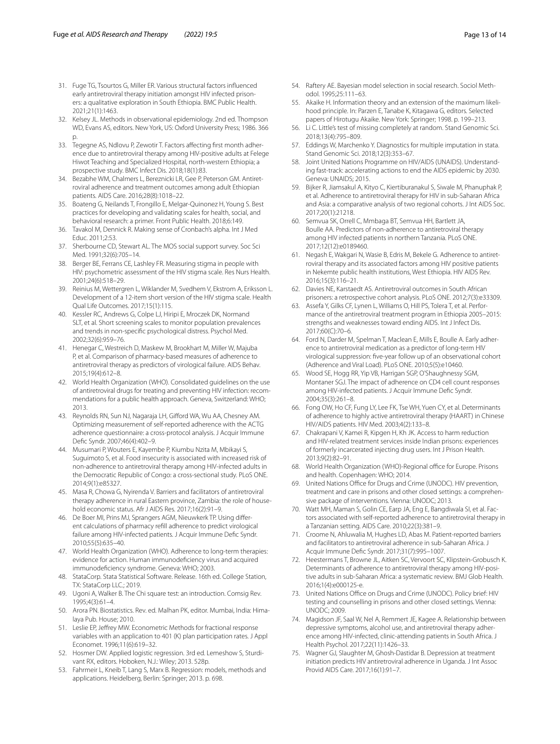- <span id="page-12-0"></span>31. Fuge TG, Tsourtos G, Miller ER. Various structural factors infuenced early antiretroviral therapy initiation amongst HIV infected prisoners: a qualitative exploration in South Ethiopia. BMC Public Health. 2021;21(1):1463.
- <span id="page-12-1"></span>32. Kelsey JL. Methods in observational epidemiology. 2nd ed. Thompson WD, Evans AS, editors. New York, US: Oxford University Press; 1986. 366 p.
- <span id="page-12-2"></span>33. Tegegne AS, Ndlovu P, Zewotir T. Factors afecting frst month adherence due to antiretroviral therapy among HIV-positive adults at Felege Hiwot Teaching and Specialized Hospital, north-western Ethiopia; a prospective study. BMC Infect Dis. 2018;18(1):83.
- <span id="page-12-3"></span>34. Bezabhe WM, Chalmers L, Bereznicki LR, Gee P, Peterson GM. Antiretroviral adherence and treatment outcomes among adult Ethiopian patients. AIDS Care. 2016;28(8):1018–22.
- <span id="page-12-4"></span>35. Boateng G, Neilands T, Frongillo E, Melgar-Quinonez H, Young S. Best practices for developing and validating scales for health, social, and behavioral research: a primer. Front Public Health. 2018;6:149.
- <span id="page-12-5"></span>36. Tavakol M, Dennick R. Making sense of Cronbach's alpha. Int J Med Educ. 2011;2:53.
- <span id="page-12-6"></span>37. Sherbourne CD, Stewart AL. The MOS social support survey. Soc Sci Med. 1991;32(6):705–14.
- <span id="page-12-7"></span>38. Berger BE, Ferrans CE, Lashley FR. Measuring stigma in people with HIV: psychometric assessment of the HIV stigma scale. Res Nurs Health. 2001;24(6):518–29.
- <span id="page-12-8"></span>39. Reinius M, Wettergren L, Wiklander M, Svedhem V, Ekstrom A, Eriksson L. Development of a 12-item short version of the HIV stigma scale. Health Qual Life Outcomes. 2017;15(1):115.
- <span id="page-12-9"></span>40. Kessler RC, Andrews G, Colpe LJ, Hiripi E, Mroczek DK, Normand SLT, et al. Short screening scales to monitor population prevalences and trends in non-specifc psychological distress. Psychol Med. 2002;32(6):959–76.
- <span id="page-12-10"></span>41. Henegar C, Westreich D, Maskew M, Brookhart M, Miller W, Majuba P, et al. Comparison of pharmacy-based measures of adherence to antiretroviral therapy as predictors of virological failure. AIDS Behav. 2015;19(4):612–8.
- <span id="page-12-16"></span>42. World Health Organization (WHO). Consolidated guidelines on the use of antiretroviral drugs for treating and preventing HIV infection: recommendations for a public health approach. Geneva, Switzerland: WHO; 2013.
- <span id="page-12-11"></span>43. Reynolds RN, Sun NJ, Nagaraja LH, Gifford WA, Wu AA, Chesney AM. Optimizing measurement of self-reported adherence with the ACTG adherence questionnaire: a cross-protocol analysis. J Acquir Immune Defc Syndr. 2007;46(4):402–9.
- <span id="page-12-12"></span>44. Musumari P, Wouters E, Kayembe P, Kiumbu Nzita M, Mbikayi S, Suguimoto S, et al. Food insecurity is associated with increased risk of non-adherence to antiretroviral therapy among HIV-infected adults in the Democratic Republic of Congo: a cross-sectional study. PLoS ONE. 2014;9(1):e85327.
- <span id="page-12-13"></span>45. Masa R, Chowa G, Nyirenda V. Barriers and facilitators of antiretroviral therapy adherence in rural Eastern province, Zambia: the role of household economic status. Afr J AIDS Res. 2017;16(2):91–9.
- <span id="page-12-14"></span>46. De Boer MI, Prins MJ, Sprangers AGM, Nieuwkerk TP. Using diferent calculations of pharmacy refll adherence to predict virological failure among HIV-infected patients. J Acquir Immune Defc Syndr. 2010;55(5):635–40.
- <span id="page-12-15"></span>47. World Health Organization (WHO). Adherence to long-term therapies: evidence for action. Human immunodefciency virus and acquired immunodefciency syndrome. Geneva: WHO; 2003.
- <span id="page-12-17"></span>48. StataCorp. Stata Statistical Software. Release. 16th ed. College Station, TX: StataCorp LLC.; 2019.
- <span id="page-12-18"></span>49. Ugoni A, Walker B. The Chi square test: an introduction. Comsig Rev. 1995;4(3):61–4.
- <span id="page-12-19"></span>50. Arora PN. Biostatistics. Rev. ed. Malhan PK, editor. Mumbai, India: Himalaya Pub. House; 2010.
- <span id="page-12-20"></span>51. Leslie EP, Jefrey MW. Econometric Methods for fractional response variables with an application to 401 (K) plan participation rates. J Appl Economet. 1996;11(6):619–32.
- <span id="page-12-21"></span>52. Hosmer DW. Applied logistic regression. 3rd ed. Lemeshow S, Sturdivant RX, editors. Hoboken, N.J.: Wiley; 2013. 528p.
- <span id="page-12-22"></span>53. Fahrmeir L, Kneib T, Lang S, Marx B. Regression: models, methods and applications. Heidelberg, Berlin: Springer; 2013. p. 698.
- <span id="page-12-24"></span><span id="page-12-23"></span>55. Akaike H. Information theory and an extension of the maximum likelihood principle. In: Parzen E, Tanabe K, Kitagawa G, editors. Selected papers of Hirotugu Akaike. New York: Springer; 1998. p. 199–213.
- <span id="page-12-25"></span>56. Li C. Little's test of missing completely at random. Stand Genomic Sci. 2018;13(4):795–809.
- <span id="page-12-26"></span>57. Eddings W, Marchenko Y. Diagnostics for multiple imputation in stata. Stand Genomic Sci. 2018;12(3):353–67.
- <span id="page-12-27"></span>58. Joint United Nations Programme on HIV/AIDS (UNAIDS). Understanding fast-track: accelerating actions to end the AIDS epidemic by 2030. Geneva: UNAIDS; 2015.
- <span id="page-12-28"></span>59. Bijker R, Jiamsakul A, Kityo C, Kiertiburanakul S, Siwale M, Phanuphak P, et al. Adherence to antiretroviral therapy for HIV in sub-Saharan Africa and Asia: a comparative analysis of two regional cohorts. J Int AIDS Soc. 2017;20(1):21218.
- <span id="page-12-29"></span>60. Semvua SK, Orrell C, Mmbaga BT, Semvua HH, Bartlett JA, Boulle AA. Predictors of non-adherence to antiretroviral therapy among HIV infected patients in northern Tanzania. PLoS ONE. 2017;12(12):e0189460.
- <span id="page-12-30"></span>61. Negash E, Wakgari N, Wasie B, Edris M, Bekele G. Adherence to antiretroviral therapy and its associated factors among HIV positive patients in Nekemte public health institutions, West Ethiopia. HIV AIDS Rev. 2016;15(3):116–21.
- <span id="page-12-31"></span>62. Davies NE, Karstaedt AS. Antiretroviral outcomes in South African prisoners: a retrospective cohort analysis. PLoS ONE. 2012;7(3):e33309.
- <span id="page-12-32"></span>63. Assefa Y, Gilks CF, Lynen L, Williams O, Hill PS, Tolera T, et al. Performance of the antiretroviral treatment program in Ethiopia 2005–2015: strengths and weaknesses toward ending AIDS. Int J Infect Dis. 2017;60(C):70–6.
- <span id="page-12-33"></span>64. Ford N, Darder M, Spelman T, Maclean E, Mills E, Boulle A. Early adherence to antiretroviral medication as a predictor of long-term HIV virological suppression: fve-year follow up of an observational cohort (Adherence and Viral Load). PLoS ONE. 2010;5(5):e10460.
- <span id="page-12-34"></span>65. Wood SE, Hogg RR, Yip VB, Harrigan SGP, O'Shaughnessy SGM, Montaner SGJ. The impact of adherence on CD4 cell count responses among HIV-infected patients. J Acquir Immune Defc Syndr. 2004;35(3):261–8.
- <span id="page-12-35"></span>66. Fong OW, Ho CF, Fung LY, Lee FK, Tse WH, Yuen CY, et al. Determinants of adherence to highly active antiretroviral therapy (HAART) in Chinese HIV/AIDS patients. HIV Med. 2003;4(2):133–8.
- <span id="page-12-36"></span>67. Chakrapani V, Kamei R, Kipgen H, Kh JK. Access to harm reduction and HIV-related treatment services inside Indian prisons: experiences of formerly incarcerated injecting drug users. Int J Prison Health. 2013;9(2):82–91.
- <span id="page-12-37"></span>68. World Health Organization (WHO)-Regional office for Europe. Prisons and health. Copenhagen: WHO; 2014.
- <span id="page-12-38"></span>69. United Nations Office for Drugs and Crime (UNODC). HIV prevention, treatment and care in prisons and other closed settings: a comprehensive package of interventions. Vienna: UNODC; 2013.
- <span id="page-12-39"></span>70. Watt MH, Maman S, Golin CE, Earp JA, Eng E, Bangdiwala SI, et al. Factors associated with self-reported adherence to antiretroviral therapy in a Tanzanian setting. AIDS Care. 2010;22(3):381–9.
- <span id="page-12-40"></span>71. Croome N, Ahluwalia M, Hughes LD, Abas M. Patient-reported barriers and facilitators to antiretroviral adherence in sub-Saharan Africa. J Acquir Immune Defc Syndr. 2017;31(7):995–1007.
- <span id="page-12-41"></span>72. Heestermans T, Browne JL, Aitken SC, Vervoort SC, Klipstein-Grobusch K. Determinants of adherence to antiretroviral therapy among HIV-positive adults in sub-Saharan Africa: a systematic review. BMJ Glob Health. 2016;1(4):e000125-e.
- <span id="page-12-42"></span>73. United Nations Office on Drugs and Crime (UNODC). Policy brief: HIV testing and counselling in prisons and other closed settings. Vienna: UNODC; 2009.
- <span id="page-12-43"></span>74. Magidson JF, Saal W, Nel A, Remmert JE, Kagee A. Relationship between depressive symptoms, alcohol use, and antiretroviral therapy adherence among HIV-infected, clinic-attending patients in South Africa. J Health Psychol. 2017;22(11):1426–33.
- 75. Wagner GJ, Slaughter M, Ghosh-Dastidar B. Depression at treatment initiation predicts HIV antiretroviral adherence in Uganda. J Int Assoc Provid AIDS Care. 2017;16(1):91–7.